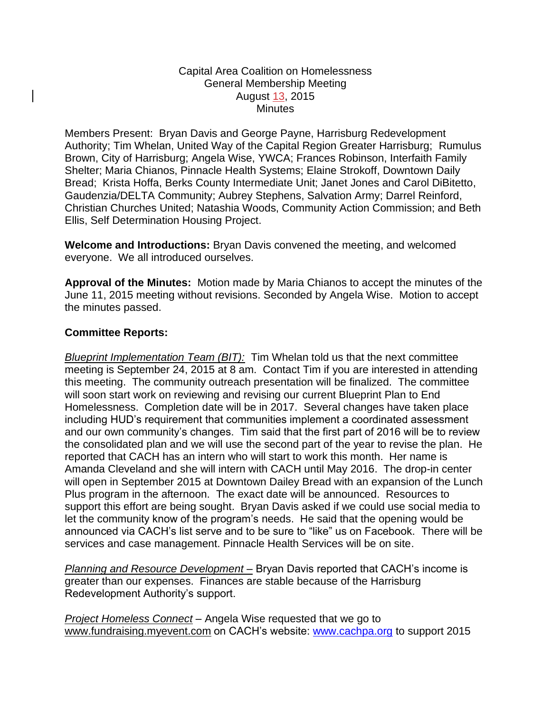## Capital Area Coalition on Homelessness General Membership Meeting August 13, 2015 **Minutes**

Members Present: Bryan Davis and George Payne, Harrisburg Redevelopment Authority; Tim Whelan, United Way of the Capital Region Greater Harrisburg; Rumulus Brown, City of Harrisburg; Angela Wise, YWCA; Frances Robinson, Interfaith Family Shelter; Maria Chianos, Pinnacle Health Systems; Elaine Strokoff, Downtown Daily Bread; Krista Hoffa, Berks County Intermediate Unit; Janet Jones and Carol DiBitetto, Gaudenzia/DELTA Community; Aubrey Stephens, Salvation Army; Darrel Reinford, Christian Churches United; Natashia Woods, Community Action Commission; and Beth Ellis, Self Determination Housing Project.

**Welcome and Introductions:** Bryan Davis convened the meeting, and welcomed everyone. We all introduced ourselves.

**Approval of the Minutes:** Motion made by Maria Chianos to accept the minutes of the June 11, 2015 meeting without revisions. Seconded by Angela Wise. Motion to accept the minutes passed.

## **Committee Reports:**

*Blueprint Implementation Team (BIT):* Tim Whelan told us that the next committee meeting is September 24, 2015 at 8 am. Contact Tim if you are interested in attending this meeting. The community outreach presentation will be finalized. The committee will soon start work on reviewing and revising our current Blueprint Plan to End Homelessness. Completion date will be in 2017. Several changes have taken place including HUD's requirement that communities implement a coordinated assessment and our own community's changes. Tim said that the first part of 2016 will be to review the consolidated plan and we will use the second part of the year to revise the plan. He reported that CACH has an intern who will start to work this month. Her name is Amanda Cleveland and she will intern with CACH until May 2016. The drop-in center will open in September 2015 at Downtown Dailey Bread with an expansion of the Lunch Plus program in the afternoon. The exact date will be announced. Resources to support this effort are being sought. Bryan Davis asked if we could use social media to let the community know of the program's needs. He said that the opening would be announced via CACH's list serve and to be sure to "like" us on Facebook. There will be services and case management. Pinnacle Health Services will be on site.

*Planning and Resource Development –* Bryan Davis reported that CACH's income is greater than our expenses. Finances are stable because of the Harrisburg Redevelopment Authority's support.

*Project Homeless Connect* – Angela Wise requested that we go to [www.fundraising.myevent.com](http://fundraising.myevent.com/) on CACH's website: [www.cachpa.org](http://www.cachpa.org/) to support 2015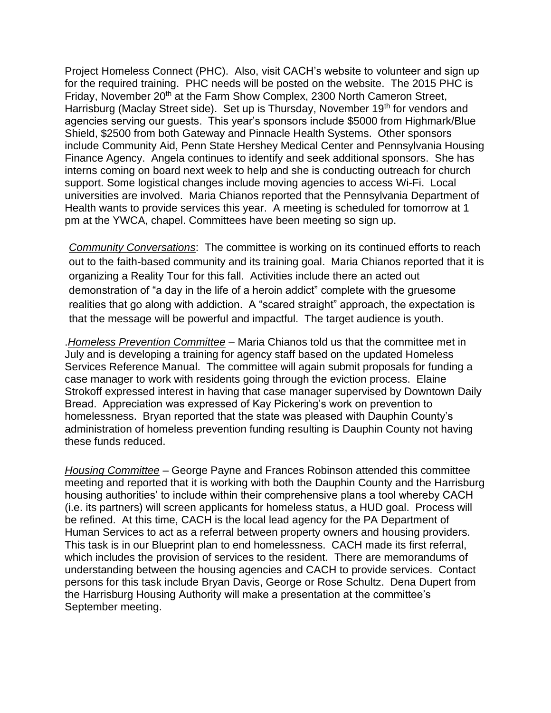Project Homeless Connect (PHC). Also, visit CACH's website to volunteer and sign up for the required training. PHC needs will be posted on the website. The 2015 PHC is Friday, November 20<sup>th</sup> at the Farm Show Complex, 2300 North Cameron Street, Harrisburg (Maclay Street side). Set up is Thursday, November 19<sup>th</sup> for vendors and agencies serving our guests. This year's sponsors include \$5000 from Highmark/Blue Shield, \$2500 from both Gateway and Pinnacle Health Systems. Other sponsors include Community Aid, Penn State Hershey Medical Center and Pennsylvania Housing Finance Agency. Angela continues to identify and seek additional sponsors. She has interns coming on board next week to help and she is conducting outreach for church support. Some logistical changes include moving agencies to access Wi-Fi. Local universities are involved. Maria Chianos reported that the Pennsylvania Department of Health wants to provide services this year. A meeting is scheduled for tomorrow at 1 pm at the YWCA, chapel. Committees have been meeting so sign up.

*Community Conversations*: The committee is working on its continued efforts to reach out to the faith-based community and its training goal. Maria Chianos reported that it is organizing a Reality Tour for this fall. Activities include there an acted out demonstration of "a day in the life of a heroin addict" complete with the gruesome realities that go along with addiction. A "scared straight" approach, the expectation is that the message will be powerful and impactful. The target audience is youth.

.*Homeless Prevention Committee* – Maria Chianos told us that the committee met in July and is developing a training for agency staff based on the updated Homeless Services Reference Manual. The committee will again submit proposals for funding a case manager to work with residents going through the eviction process. Elaine Strokoff expressed interest in having that case manager supervised by Downtown Daily Bread. Appreciation was expressed of Kay Pickering's work on prevention to homelessness. Bryan reported that the state was pleased with Dauphin County's administration of homeless prevention funding resulting is Dauphin County not having these funds reduced.

*Housing Committee* – George Payne and Frances Robinson attended this committee meeting and reported that it is working with both the Dauphin County and the Harrisburg housing authorities' to include within their comprehensive plans a tool whereby CACH (i.e. its partners) will screen applicants for homeless status, a HUD goal. Process will be refined. At this time, CACH is the local lead agency for the PA Department of Human Services to act as a referral between property owners and housing providers. This task is in our Blueprint plan to end homelessness. CACH made its first referral, which includes the provision of services to the resident. There are memorandums of understanding between the housing agencies and CACH to provide services. Contact persons for this task include Bryan Davis, George or Rose Schultz. Dena Dupert from the Harrisburg Housing Authority will make a presentation at the committee's September meeting.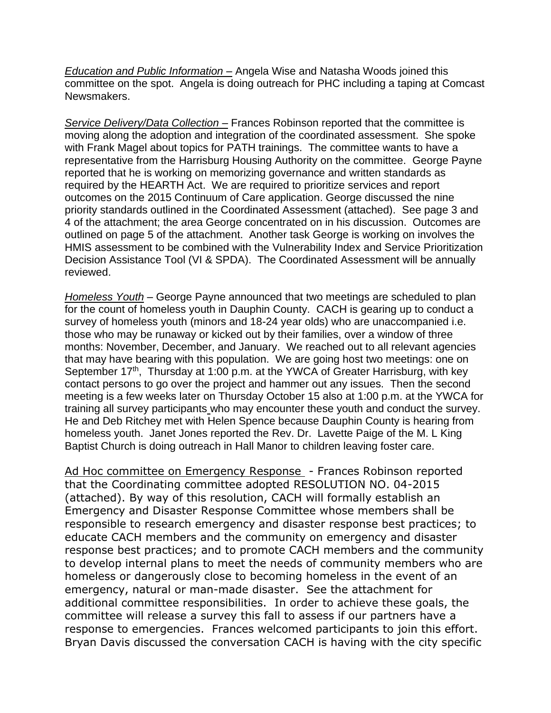*Education and Public Information –* Angela Wise and Natasha Woods joined this committee on the spot. Angela is doing outreach for PHC including a taping at Comcast Newsmakers.

*Service Delivery/Data Collection –* Frances Robinson reported that the committee is moving along the adoption and integration of the coordinated assessment. She spoke with Frank Magel about topics for PATH trainings. The committee wants to have a representative from the Harrisburg Housing Authority on the committee. George Payne reported that he is working on memorizing governance and written standards as required by the HEARTH Act. We are required to prioritize services and report outcomes on the 2015 Continuum of Care application. George discussed the nine priority standards outlined in the Coordinated Assessment (attached). See page 3 and 4 of the attachment; the area George concentrated on in his discussion. Outcomes are outlined on page 5 of the attachment. Another task George is working on involves the HMIS assessment to be combined with the Vulnerability Index and Service Prioritization Decision Assistance Tool (VI & SPDA). The Coordinated Assessment will be annually reviewed.

*Homeless Youth* – George Payne announced that two meetings are scheduled to plan for the count of homeless youth in Dauphin County. CACH is gearing up to conduct a survey of homeless youth (minors and 18-24 year olds) who are unaccompanied i.e. those who may be runaway or kicked out by their families, over a window of three months: November, December, and January. We reached out to all relevant agencies that may have bearing with this population. We are going host two meetings: one on September 17<sup>th</sup>, Thursday at 1:00 p.m. at the YWCA of Greater Harrisburg, with key contact persons to go over the project and hammer out any issues. Then the second meeting is a few weeks later on Thursday October 15 also at 1:00 p.m. at the YWCA for training all survey participants who may encounter these youth and conduct the survey. He and Deb Ritchey met with Helen Spence because Dauphin County is hearing from homeless youth. Janet Jones reported the Rev. Dr. Lavette Paige of the M. L King Baptist Church is doing outreach in Hall Manor to children leaving foster care.

Ad Hoc committee on Emergency Response - Frances Robinson reported that the Coordinating committee adopted RESOLUTION NO. 04-2015 (attached). By way of this resolution, CACH will formally establish an Emergency and Disaster Response Committee whose members shall be responsible to research emergency and disaster response best practices; to educate CACH members and the community on emergency and disaster response best practices; and to promote CACH members and the community to develop internal plans to meet the needs of community members who are homeless or dangerously close to becoming homeless in the event of an emergency, natural or man-made disaster. See the attachment for additional committee responsibilities. In order to achieve these goals, the committee will release a survey this fall to assess if our partners have a response to emergencies. Frances welcomed participants to join this effort. Bryan Davis discussed the conversation CACH is having with the city specific